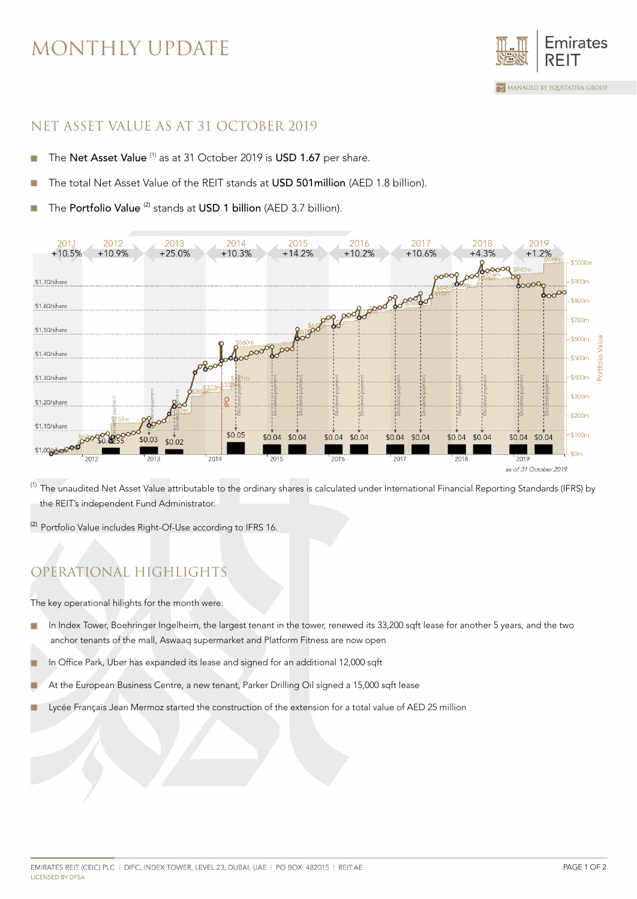# MONTHLY UPDATE



#### NET ASSET VALUE AS AT 31 OCTOBER 2019

- The Net Asset Value (1) as at 31 October 2019 is USD 1.67 per share. ×
- The total Net Asset Value of the REIT stands at USD 501 million (AED 1.8 billion).
- The Portfolio Value<sup>(2)</sup> stands at USD 1 billion (AED 3.7 billion).



(1) The unaudited Net Asset Value attributable to the ordinary shares is calculated under International Financial Reporting Standards (IFRS) by the REIT's independent Fund Administrator.

<sup>(2)</sup> Portfolio Value includes Right-Of-Use according to IFRS 16.

## OPERATIONAL HIGHLIGHTS

The key operational hilights for the month were:

- In Index Tower, Boehringer Ingelheim, the largest tenant in the tower, renewed its 33,200 sqft lease for another 5 years, and the two × anchor tenants of the mall, Aswaaq supermarket and Platform Fitness are now open
- In Office Park, Uber has expanded its lease and signed for an additional 12,000 sqft
- At the European Business Centre, a new tenant, Parker Drilling Oil signed a 15,000 sqft lease
- Lycée Français Jean Mermoz started the construction of the extension for a total value of AED 25 million